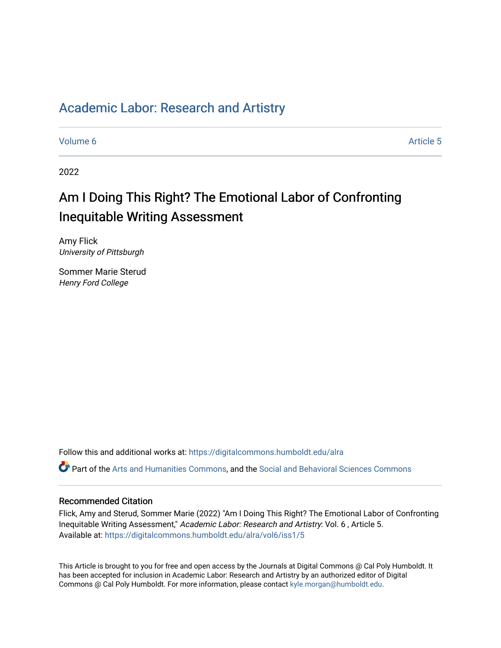# [Academic Labor: Research and Artistry](https://digitalcommons.humboldt.edu/alra)

[Volume 6](https://digitalcommons.humboldt.edu/alra/vol6) Article 5

2022

# Am I Doing This Right? The Emotional Labor of Confronting Inequitable Writing Assessment

Amy Flick University of Pittsburgh

Sommer Marie Sterud Henry Ford College

Follow this and additional works at: [https://digitalcommons.humboldt.edu/alra](https://digitalcommons.humboldt.edu/alra?utm_source=digitalcommons.humboldt.edu%2Falra%2Fvol6%2Fiss1%2F5&utm_medium=PDF&utm_campaign=PDFCoverPages)

Part of the [Arts and Humanities Commons,](http://network.bepress.com/hgg/discipline/438?utm_source=digitalcommons.humboldt.edu%2Falra%2Fvol6%2Fiss1%2F5&utm_medium=PDF&utm_campaign=PDFCoverPages) and the [Social and Behavioral Sciences Commons](http://network.bepress.com/hgg/discipline/316?utm_source=digitalcommons.humboldt.edu%2Falra%2Fvol6%2Fiss1%2F5&utm_medium=PDF&utm_campaign=PDFCoverPages)

# Recommended Citation

Flick, Amy and Sterud, Sommer Marie (2022) "Am I Doing This Right? The Emotional Labor of Confronting Inequitable Writing Assessment," Academic Labor: Research and Artistry: Vol. 6 , Article 5. Available at: [https://digitalcommons.humboldt.edu/alra/vol6/iss1/5](https://digitalcommons.humboldt.edu/alra/vol6/iss1/5?utm_source=digitalcommons.humboldt.edu%2Falra%2Fvol6%2Fiss1%2F5&utm_medium=PDF&utm_campaign=PDFCoverPages)

This Article is brought to you for free and open access by the Journals at Digital Commons @ Cal Poly Humboldt. It has been accepted for inclusion in Academic Labor: Research and Artistry by an authorized editor of Digital Commons @ Cal Poly Humboldt. For more information, please contact [kyle.morgan@humboldt.edu](mailto:kyle.morgan@humboldt.edu).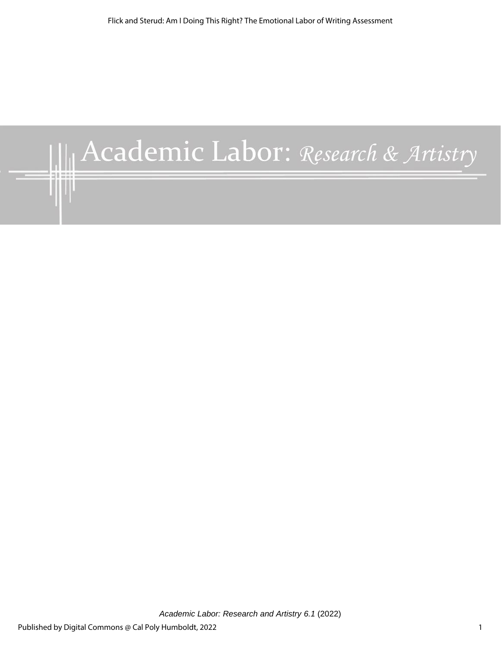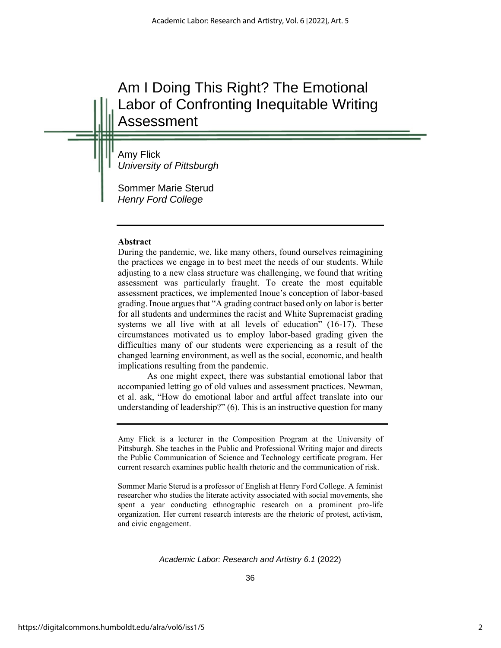# Am I Doing This Right? The Emotional Labor of Confronting Inequitable Writing Assessment

Amy Flick *University of Pittsburgh*

Sommer Marie Sterud *Henry Ford College*

# **Abstract**

During the pandemic, we, like many others, found ourselves reimagining the practices we engage in to best meet the needs of our students. While adjusting to a new class structure was challenging, we found that writing assessment was particularly fraught. To create the most equitable assessment practices, we implemented Inoue's conception of labor-based grading. Inoue argues that "A grading contract based only on labor is better for all students and undermines the racist and White Supremacist grading systems we all live with at all levels of education" (16-17). These circumstances motivated us to employ labor-based grading given the difficulties many of our students were experiencing as a result of the changed learning environment, as well as the social, economic, and health implications resulting from the pandemic.

As one might expect, there was substantial emotional labor that accompanied letting go of old values and assessment practices. Newman, et al. ask, "How do emotional labor and artful affect translate into our understanding of leadership?" (6). This is an instructive question for many

Amy Flick is a lecturer in the Composition Program at the University of Pittsburgh. She teaches in the Public and Professional Writing major and directs the Public Communication of Science and Technology certificate program. Her current research examines public health rhetoric and the communication of risk.

Sommer Marie Sterud is a professor of English at Henry Ford College. A feminist researcher who studies the literate activity associated with social movements, she spent a year conducting ethnographic research on a prominent pro-life organization. Her current research interests are the rhetoric of protest, activism, and civic engagement.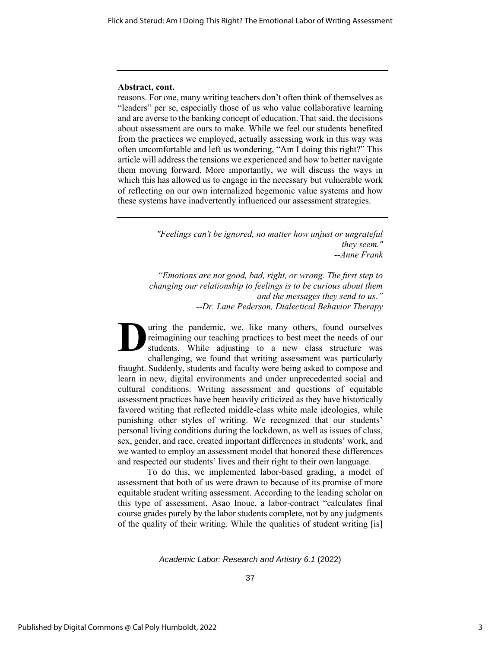#### **Abstract, cont.**

reasons. For one, many writing teachers don't often think of themselves as "leaders" per se, especially those of us who value collaborative learning and are averse to the banking concept of education. That said, the decisions about assessment are ours to make. While we feel our students benefited from the practices we employed, actually assessing work in this way was often uncomfortable and left us wondering, "Am I doing this right?" This article will address the tensions we experienced and how to better navigate them moving forward. More importantly, we will discuss the ways in which this has allowed us to engage in the necessary but vulnerable work of reflecting on our own internalized hegemonic value systems and how these systems have inadvertently influenced our assessment strategies.

> *"Feelings can't be ignored, no matter how unjust or ungrateful they seem." --Anne Frank*

*"Emotions are not good, bad, right, or wrong. The first step to changing our relationship to feelings is to be curious about them and the messages they send to us." --Dr. Lane Pederson, Dialectical Behavior Therapy*

uring the pandemic, we, like many others, found ourselves reimagining our teaching practices to best meet the needs of our students. While adjusting to a new class structure was challenging, we found that writing assessment was particularly fraught. Suddenly, students and faculty were being asked to compose and learn in new, digital environments and under unprecedented social and cultural conditions. Writing assessment and questions of equitable assessment practices have been heavily criticized as they have historically favored writing that reflected middle-class white male ideologies, while punishing other styles of writing. We recognized that our students' personal living conditions during the lockdown, as well as issues of class, sex, gender, and race, created important differences in students' work, and we wanted to employ an assessment model that honored these differences and respected our students' lives and their right to their own language. **D**

To do this, we implemented labor-based grading, a model of assessment that both of us were drawn to because of its promise of more equitable student writing assessment. According to the leading scholar on this type of assessment, Asao Inoue, a labor-contract "calculates final course grades purely by the labor students complete, not by any judgments of the quality of their writing. While the qualities of student writing [is]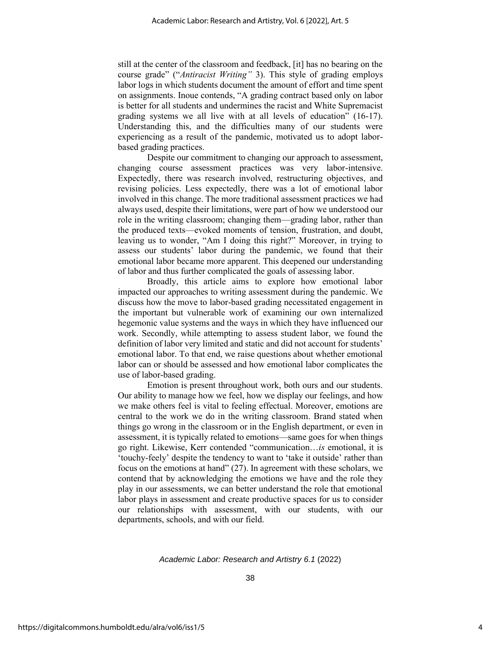still at the center of the classroom and feedback, [it] has no bearing on the course grade" ("*Antiracist Writing"* 3). This style of grading employs labor logs in which students document the amount of effort and time spent on assignments. Inoue contends, "A grading contract based only on labor is better for all students and undermines the racist and White Supremacist grading systems we all live with at all levels of education" (16-17). Understanding this, and the difficulties many of our students were experiencing as a result of the pandemic, motivated us to adopt laborbased grading practices.

Despite our commitment to changing our approach to assessment, changing course assessment practices was very labor-intensive. Expectedly, there was research involved, restructuring objectives, and revising policies. Less expectedly, there was a lot of emotional labor involved in this change. The more traditional assessment practices we had always used, despite their limitations, were part of how we understood our role in the writing classroom; changing them—grading labor, rather than the produced texts—evoked moments of tension, frustration, and doubt, leaving us to wonder, "Am I doing this right?" Moreover, in trying to assess our students' labor during the pandemic, we found that their emotional labor became more apparent. This deepened our understanding of labor and thus further complicated the goals of assessing labor.

Broadly, this article aims to explore how emotional labor impacted our approaches to writing assessment during the pandemic. We discuss how the move to labor-based grading necessitated engagement in the important but vulnerable work of examining our own internalized hegemonic value systems and the ways in which they have influenced our work. Secondly, while attempting to assess student labor, we found the definition of labor very limited and static and did not account for students' emotional labor. To that end, we raise questions about whether emotional labor can or should be assessed and how emotional labor complicates the use of labor-based grading.

Emotion is present throughout work, both ours and our students. Our ability to manage how we feel, how we display our feelings, and how we make others feel is vital to feeling effectual. Moreover, emotions are central to the work we do in the writing classroom. Brand stated when things go wrong in the classroom or in the English department, or even in assessment, it is typically related to emotions—same goes for when things go right. Likewise, Kerr contended "communication…*is* emotional, it is 'touchy-feely' despite the tendency to want to 'take it outside' rather than focus on the emotions at hand" (27). In agreement with these scholars, we contend that by acknowledging the emotions we have and the role they play in our assessments, we can better understand the role that emotional labor plays in assessment and create productive spaces for us to consider our relationships with assessment, with our students, with our departments, schools, and with our field.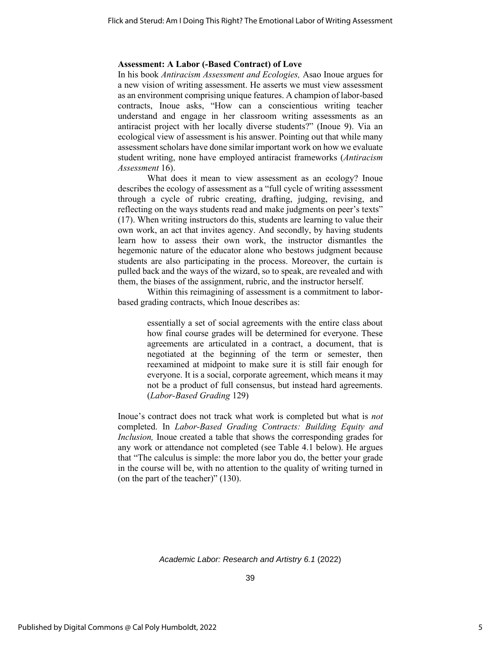#### **Assessment: A Labor (-Based Contract) of Love**

In his book *Antiracism Assessment and Ecologies,* Asao Inoue argues for a new vision of writing assessment. He asserts we must view assessment as an environment comprising unique features. A champion of labor-based contracts, Inoue asks, "How can a conscientious writing teacher understand and engage in her classroom writing assessments as an antiracist project with her locally diverse students?" (Inoue 9). Via an ecological view of assessment is his answer. Pointing out that while many assessment scholars have done similar important work on how we evaluate student writing, none have employed antiracist frameworks (*Antiracism Assessment* 16).

What does it mean to view assessment as an ecology? Inoue describes the ecology of assessment as a "full cycle of writing assessment through a cycle of rubric creating, drafting, judging, revising, and reflecting on the ways students read and make judgments on peer's texts" (17). When writing instructors do this, students are learning to value their own work, an act that invites agency. And secondly, by having students learn how to assess their own work, the instructor dismantles the hegemonic nature of the educator alone who bestows judgment because students are also participating in the process. Moreover, the curtain is pulled back and the ways of the wizard, so to speak, are revealed and with them, the biases of the assignment, rubric, and the instructor herself.

Within this reimagining of assessment is a commitment to laborbased grading contracts, which Inoue describes as:

> essentially a set of social agreements with the entire class about how final course grades will be determined for everyone. These agreements are articulated in a contract, a document, that is negotiated at the beginning of the term or semester, then reexamined at midpoint to make sure it is still fair enough for everyone. It is a social, corporate agreement, which means it may not be a product of full consensus, but instead hard agreements. (*Labor-Based Grading* 129)

Inoue's contract does not track what work is completed but what is *not*  completed. In *Labor-Based Grading Contracts: Building Equity and Inclusion*, Inoue created a table that shows the corresponding grades for any work or attendance not completed (see Table 4.1 below). He argues that "The calculus is simple: the more labor you do, the better your grade in the course will be, with no attention to the quality of writing turned in (on the part of the teacher)" (130).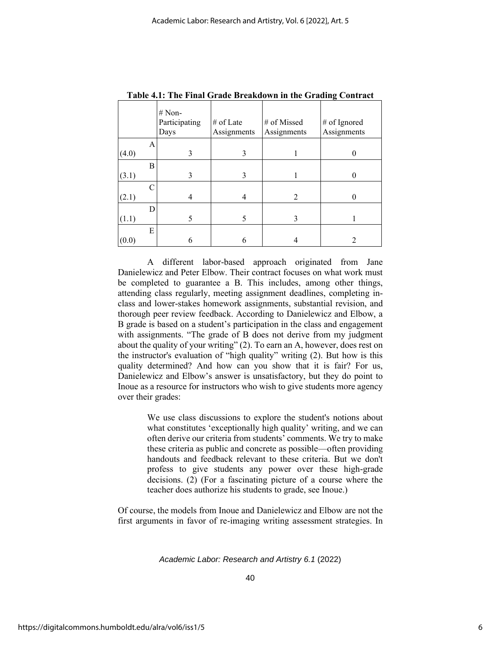|       |   | $# Non-$<br>Participating<br>Days | # of Late<br>Assignments | # of Missed<br>Assignments | # of Ignored<br>Assignments |
|-------|---|-----------------------------------|--------------------------|----------------------------|-----------------------------|
|       | A |                                   |                          |                            |                             |
| (4.0) |   | 3                                 | 3                        |                            |                             |
|       | B |                                   |                          |                            |                             |
| (3.1) |   | 3                                 | 3                        |                            |                             |
|       | C |                                   |                          |                            |                             |
| (2.1) |   |                                   | 4                        | 2                          |                             |
|       | D |                                   |                          |                            |                             |
| (1.1) |   | 5                                 | 5                        | 3                          |                             |
|       | E |                                   |                          |                            |                             |
| (0.0) |   | h                                 | 6                        |                            |                             |

**Table 4.1: The Final Grade Breakdown in the Grading Contract**

A different labor-based approach originated from Jane Danielewicz and Peter Elbow. Their contract focuses on what work must be completed to guarantee a B. This includes, among other things, attending class regularly, meeting assignment deadlines, completing inclass and lower-stakes homework assignments, substantial revision, and thorough peer review feedback. According to Danielewicz and Elbow, a B grade is based on a student's participation in the class and engagement with assignments. "The grade of B does not derive from my judgment about the quality of your writing" (2). To earn an A, however, does rest on the instructor's evaluation of "high quality" writing (2). But how is this quality determined? And how can you show that it is fair? For us, Danielewicz and Elbow's answer is unsatisfactory, but they do point to Inoue as a resource for instructors who wish to give students more agency over their grades:

> We use class discussions to explore the student's notions about what constitutes 'exceptionally high quality' writing, and we can often derive our criteria from students' comments. We try to make these criteria as public and concrete as possible—often providing handouts and feedback relevant to these criteria. But we don't profess to give students any power over these high-grade decisions. (2) (For a fascinating picture of a course where the teacher does authorize his students to grade, see Inoue.)

Of course, the models from Inoue and Danielewicz and Elbow are not the first arguments in favor of re-imaging writing assessment strategies. In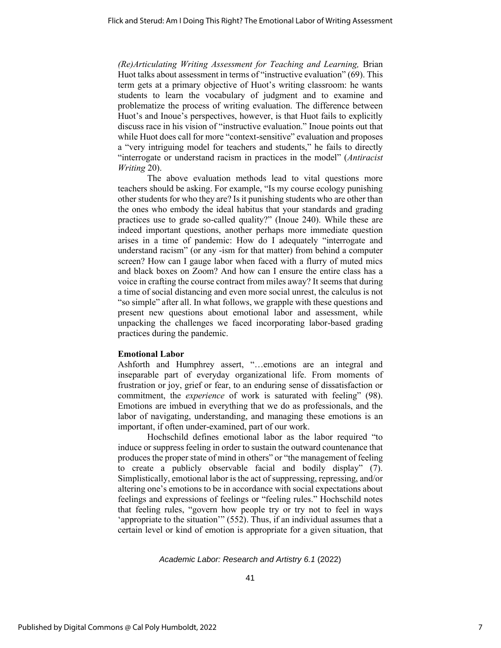*(Re)Articulating Writing Assessment for Teaching and Learning,* Brian Huot talks about assessment in terms of "instructive evaluation" (69). This term gets at a primary objective of Huot's writing classroom: he wants students to learn the vocabulary of judgment and to examine and problematize the process of writing evaluation. The difference between Huot's and Inoue's perspectives, however, is that Huot fails to explicitly discuss race in his vision of "instructive evaluation." Inoue points out that while Huot does call for more "context-sensitive" evaluation and proposes a "very intriguing model for teachers and students," he fails to directly "interrogate or understand racism in practices in the model" (*Antiracist Writing* 20).

The above evaluation methods lead to vital questions more teachers should be asking. For example, "Is my course ecology punishing other students for who they are? Is it punishing students who are other than the ones who embody the ideal habitus that your standards and grading practices use to grade so-called quality?" (Inoue 240). While these are indeed important questions, another perhaps more immediate question arises in a time of pandemic: How do I adequately "interrogate and understand racism" (or any -ism for that matter) from behind a computer screen? How can I gauge labor when faced with a flurry of muted mics and black boxes on Zoom? And how can I ensure the entire class has a voice in crafting the course contract from miles away? It seems that during a time of social distancing and even more social unrest, the calculus is not "so simple" after all. In what follows, we grapple with these questions and present new questions about emotional labor and assessment, while unpacking the challenges we faced incorporating labor-based grading practices during the pandemic.

# **Emotional Labor**

Ashforth and Humphrey assert, "…emotions are an integral and inseparable part of everyday organizational life. From moments of frustration or joy, grief or fear, to an enduring sense of dissatisfaction or commitment, the *experience* of work is saturated with feeling" (98). Emotions are imbued in everything that we do as professionals, and the labor of navigating, understanding, and managing these emotions is an important, if often under-examined, part of our work.

Hochschild defines emotional labor as the labor required "to induce or suppress feeling in order to sustain the outward countenance that produces the proper state of mind in others" or "the management of feeling to create a publicly observable facial and bodily display" (7). Simplistically, emotional labor is the act of suppressing, repressing, and/or altering one's emotions to be in accordance with social expectations about feelings and expressions of feelings or "feeling rules." Hochschild notes that feeling rules, "govern how people try or try not to feel in ways 'appropriate to the situation'" (552). Thus, if an individual assumes that a certain level or kind of emotion is appropriate for a given situation, that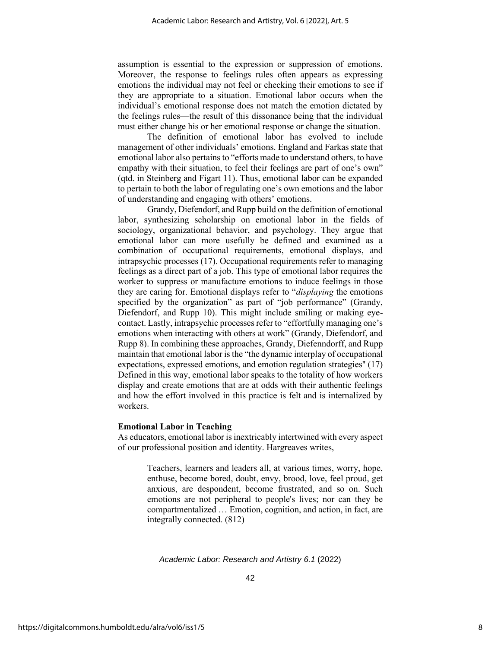assumption is essential to the expression or suppression of emotions. Moreover, the response to feelings rules often appears as expressing emotions the individual may not feel or checking their emotions to see if they are appropriate to a situation. Emotional labor occurs when the individual's emotional response does not match the emotion dictated by the feelings rules—the result of this dissonance being that the individual must either change his or her emotional response or change the situation.

The definition of emotional labor has evolved to include management of other individuals' emotions. England and Farkas state that emotional labor also pertains to "efforts made to understand others, to have empathy with their situation, to feel their feelings are part of one's own" (qtd. in Steinberg and Figart 11). Thus, emotional labor can be expanded to pertain to both the labor of regulating one's own emotions and the labor of understanding and engaging with others' emotions.

Grandy, Diefendorf, and Rupp build on the definition of emotional labor, synthesizing scholarship on emotional labor in the fields of sociology, organizational behavior, and psychology. They argue that emotional labor can more usefully be defined and examined as a combination of occupational requirements, emotional displays, and intrapsychic processes (17). Occupational requirements refer to managing feelings as a direct part of a job. This type of emotional labor requires the worker to suppress or manufacture emotions to induce feelings in those they are caring for. Emotional displays refer to "*displaying* the emotions specified by the organization" as part of "job performance" (Grandy, Diefendorf, and Rupp 10). This might include smiling or making eyecontact. Lastly, intrapsychic processes refer to "effortfully managing one's emotions when interacting with others at work" (Grandy, Diefendorf, and Rupp 8). In combining these approaches, Grandy, Diefenndorff, and Rupp maintain that emotional labor is the "the dynamic interplay of occupational expectations, expressed emotions, and emotion regulation strategies'' (17) Defined in this way, emotional labor speaks to the totality of how workers display and create emotions that are at odds with their authentic feelings and how the effort involved in this practice is felt and is internalized by workers.

# **Emotional Labor in Teaching**

As educators, emotional labor is inextricably intertwined with every aspect of our professional position and identity. Hargreaves writes,

> Teachers, learners and leaders all, at various times, worry, hope, enthuse, become bored, doubt, envy, brood, love, feel proud, get anxious, are despondent, become frustrated, and so on. Such emotions are not peripheral to people's lives; nor can they be compartmentalized … Emotion, cognition, and action, in fact, are integrally connected. (812)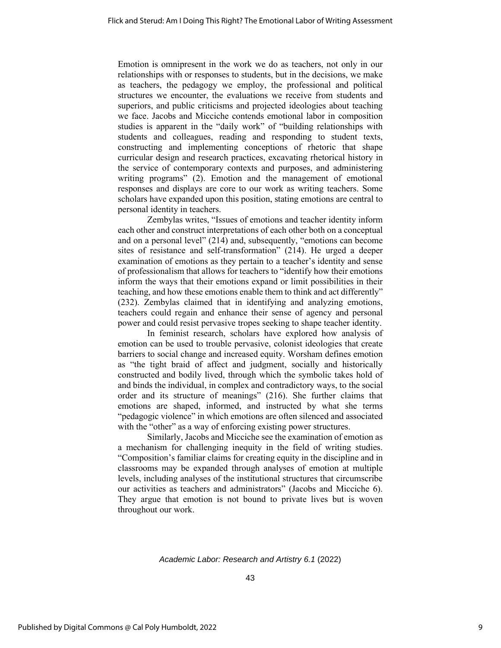Emotion is omnipresent in the work we do as teachers, not only in our relationships with or responses to students, but in the decisions, we make as teachers, the pedagogy we employ, the professional and political structures we encounter, the evaluations we receive from students and superiors, and public criticisms and projected ideologies about teaching we face. Jacobs and Micciche contends emotional labor in composition studies is apparent in the "daily work" of "building relationships with students and colleagues, reading and responding to student texts, constructing and implementing conceptions of rhetoric that shape curricular design and research practices, excavating rhetorical history in the service of contemporary contexts and purposes, and administering writing programs" (2). Emotion and the management of emotional responses and displays are core to our work as writing teachers. Some scholars have expanded upon this position, stating emotions are central to personal identity in teachers.

Zembylas writes, "Issues of emotions and teacher identity inform each other and construct interpretations of each other both on a conceptual and on a personal level" (214) and, subsequently, "emotions can become sites of resistance and self-transformation" (214). He urged a deeper examination of emotions as they pertain to a teacher's identity and sense of professionalism that allows for teachers to "identify how their emotions inform the ways that their emotions expand or limit possibilities in their teaching, and how these emotions enable them to think and act differently" (232). Zembylas claimed that in identifying and analyzing emotions, teachers could regain and enhance their sense of agency and personal power and could resist pervasive tropes seeking to shape teacher identity.

In feminist research, scholars have explored how analysis of emotion can be used to trouble pervasive, colonist ideologies that create barriers to social change and increased equity. Worsham defines emotion as "the tight braid of affect and judgment, socially and historically constructed and bodily lived, through which the symbolic takes hold of and binds the individual, in complex and contradictory ways, to the social order and its structure of meanings" (216). She further claims that emotions are shaped, informed, and instructed by what she terms "pedagogic violence" in which emotions are often silenced and associated with the "other" as a way of enforcing existing power structures.

Similarly, Jacobs and Micciche see the examination of emotion as a mechanism for challenging inequity in the field of writing studies. "Composition's familiar claims for creating equity in the discipline and in classrooms may be expanded through analyses of emotion at multiple levels, including analyses of the institutional structures that circumscribe our activities as teachers and administrators" (Jacobs and Micciche 6). They argue that emotion is not bound to private lives but is woven throughout our work.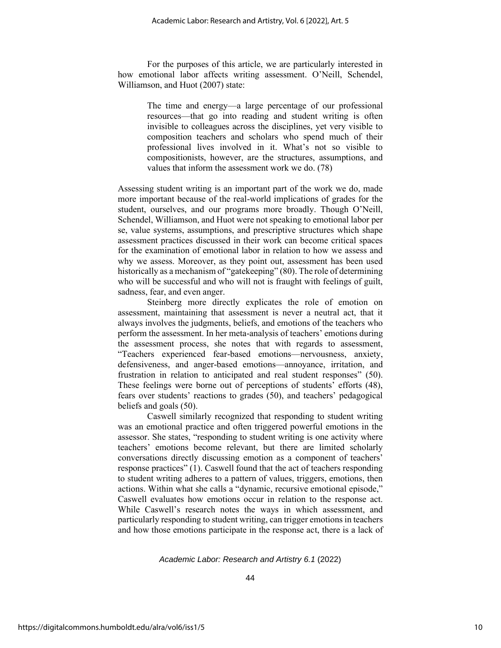For the purposes of this article, we are particularly interested in how emotional labor affects writing assessment. O'Neill, Schendel, Williamson, and Huot (2007) state:

> The time and energy—a large percentage of our professional resources—that go into reading and student writing is often invisible to colleagues across the disciplines, yet very visible to composition teachers and scholars who spend much of their professional lives involved in it. What's not so visible to compositionists, however, are the structures, assumptions, and values that inform the assessment work we do. (78)

Assessing student writing is an important part of the work we do, made more important because of the real-world implications of grades for the student, ourselves, and our programs more broadly. Though O'Neill, Schendel, Williamson, and Huot were not speaking to emotional labor per se, value systems, assumptions, and prescriptive structures which shape assessment practices discussed in their work can become critical spaces for the examination of emotional labor in relation to how we assess and why we assess. Moreover, as they point out, assessment has been used historically as a mechanism of "gatekeeping" (80). The role of determining who will be successful and who will not is fraught with feelings of guilt, sadness, fear, and even anger.

Steinberg more directly explicates the role of emotion on assessment, maintaining that assessment is never a neutral act, that it always involves the judgments, beliefs, and emotions of the teachers who perform the assessment. In her meta-analysis of teachers' emotions during the assessment process, she notes that with regards to assessment, "Teachers experienced fear-based emotions—nervousness, anxiety, defensiveness, and anger-based emotions—annoyance, irritation, and frustration in relation to anticipated and real student responses" (50). These feelings were borne out of perceptions of students' efforts (48), fears over students' reactions to grades (50), and teachers' pedagogical beliefs and goals (50).

Caswell similarly recognized that responding to student writing was an emotional practice and often triggered powerful emotions in the assessor. She states, "responding to student writing is one activity where teachers' emotions become relevant, but there are limited scholarly conversations directly discussing emotion as a component of teachers' response practices" (1). Caswell found that the act of teachers responding to student writing adheres to a pattern of values, triggers, emotions, then actions. Within what she calls a "dynamic, recursive emotional episode," Caswell evaluates how emotions occur in relation to the response act. While Caswell's research notes the ways in which assessment, and particularly responding to student writing, can trigger emotions in teachers and how those emotions participate in the response act, there is a lack of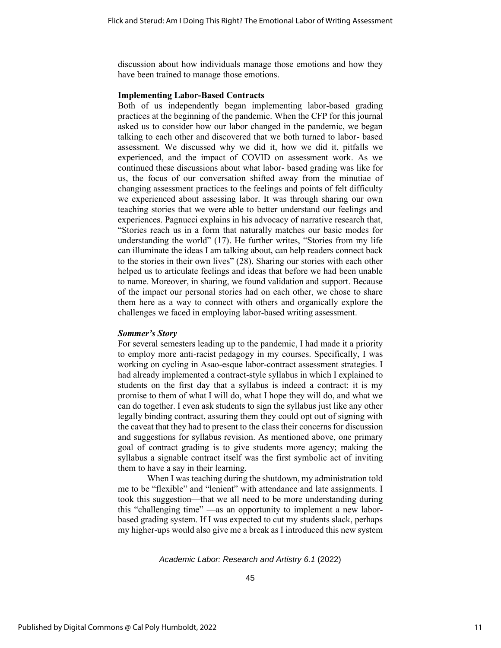discussion about how individuals manage those emotions and how they have been trained to manage those emotions.

# **Implementing Labor-Based Contracts**

Both of us independently began implementing labor-based grading practices at the beginning of the pandemic. When the CFP for this journal asked us to consider how our labor changed in the pandemic, we began talking to each other and discovered that we both turned to labor- based assessment. We discussed why we did it, how we did it, pitfalls we experienced, and the impact of COVID on assessment work. As we continued these discussions about what labor- based grading was like for us, the focus of our conversation shifted away from the minutiae of changing assessment practices to the feelings and points of felt difficulty we experienced about assessing labor. It was through sharing our own teaching stories that we were able to better understand our feelings and experiences. Pagnucci explains in his advocacy of narrative research that, "Stories reach us in a form that naturally matches our basic modes for understanding the world" (17). He further writes, "Stories from my life can illuminate the ideas I am talking about, can help readers connect back to the stories in their own lives" (28). Sharing our stories with each other helped us to articulate feelings and ideas that before we had been unable to name. Moreover, in sharing, we found validation and support. Because of the impact our personal stories had on each other, we chose to share them here as a way to connect with others and organically explore the challenges we faced in employing labor-based writing assessment.

# *Sommer's Story*

For several semesters leading up to the pandemic, I had made it a priority to employ more anti-racist pedagogy in my courses. Specifically, I was working on cycling in Asao-esque labor-contract assessment strategies. I had already implemented a contract-style syllabus in which I explained to students on the first day that a syllabus is indeed a contract: it is my promise to them of what I will do, what I hope they will do, and what we can do together. I even ask students to sign the syllabus just like any other legally binding contract, assuring them they could opt out of signing with the caveat that they had to present to the class their concerns for discussion and suggestions for syllabus revision. As mentioned above, one primary goal of contract grading is to give students more agency; making the syllabus a signable contract itself was the first symbolic act of inviting them to have a say in their learning.

When I was teaching during the shutdown, my administration told me to be "flexible" and "lenient" with attendance and late assignments. I took this suggestion—that we all need to be more understanding during this "challenging time" —as an opportunity to implement a new laborbased grading system. If I was expected to cut my students slack, perhaps my higher-ups would also give me a break as I introduced this new system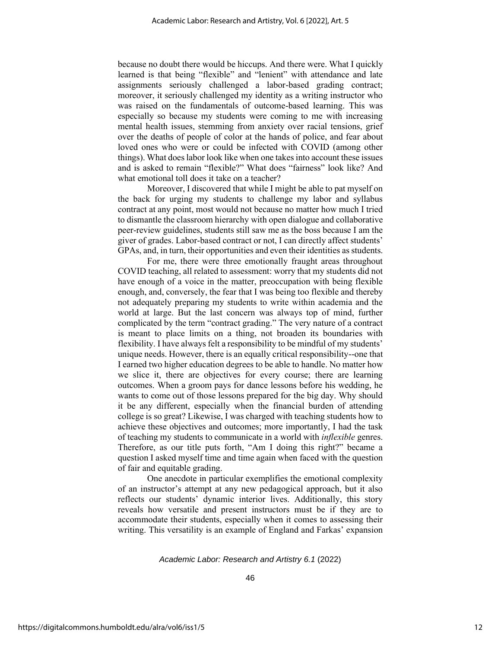because no doubt there would be hiccups. And there were. What I quickly learned is that being "flexible" and "lenient" with attendance and late assignments seriously challenged a labor-based grading contract; moreover, it seriously challenged my identity as a writing instructor who was raised on the fundamentals of outcome-based learning. This was especially so because my students were coming to me with increasing mental health issues, stemming from anxiety over racial tensions, grief over the deaths of people of color at the hands of police, and fear about loved ones who were or could be infected with COVID (among other things). What does labor look like when one takes into account these issues and is asked to remain "flexible?" What does "fairness" look like? And what emotional toll does it take on a teacher?

Moreover, I discovered that while I might be able to pat myself on the back for urging my students to challenge my labor and syllabus contract at any point, most would not because no matter how much I tried to dismantle the classroom hierarchy with open dialogue and collaborative peer-review guidelines, students still saw me as the boss because I am the giver of grades. Labor-based contract or not, I can directly affect students' GPAs, and, in turn, their opportunities and even their identities as students.

For me, there were three emotionally fraught areas throughout COVID teaching, all related to assessment: worry that my students did not have enough of a voice in the matter, preoccupation with being flexible enough, and, conversely, the fear that I was being too flexible and thereby not adequately preparing my students to write within academia and the world at large. But the last concern was always top of mind, further complicated by the term "contract grading." The very nature of a contract is meant to place limits on a thing, not broaden its boundaries with flexibility. I have always felt a responsibility to be mindful of my students' unique needs. However, there is an equally critical responsibility--one that I earned two higher education degrees to be able to handle. No matter how we slice it, there are objectives for every course; there are learning outcomes. When a groom pays for dance lessons before his wedding, he wants to come out of those lessons prepared for the big day. Why should it be any different, especially when the financial burden of attending college is so great? Likewise, I was charged with teaching students how to achieve these objectives and outcomes; more importantly, I had the task of teaching my students to communicate in a world with *inflexible* genres. Therefore, as our title puts forth, "Am I doing this right?" became a question I asked myself time and time again when faced with the question of fair and equitable grading.

One anecdote in particular exemplifies the emotional complexity of an instructor's attempt at any new pedagogical approach, but it also reflects our students' dynamic interior lives. Additionally, this story reveals how versatile and present instructors must be if they are to accommodate their students, especially when it comes to assessing their writing. This versatility is an example of England and Farkas' expansion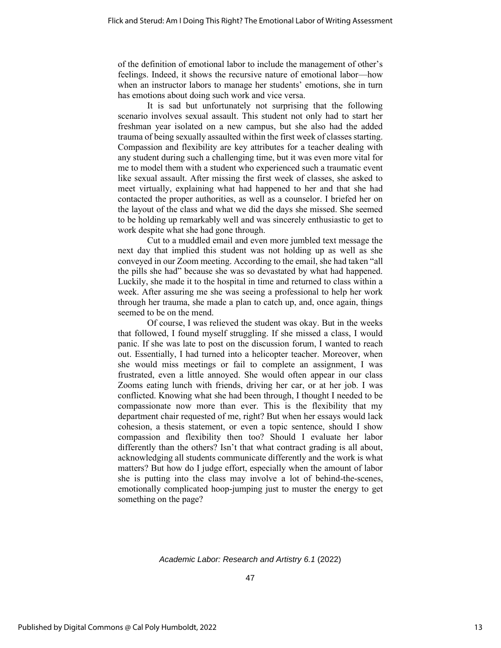of the definition of emotional labor to include the management of other's feelings. Indeed, it shows the recursive nature of emotional labor—how when an instructor labors to manage her students' emotions, she in turn has emotions about doing such work and vice versa.

It is sad but unfortunately not surprising that the following scenario involves sexual assault. This student not only had to start her freshman year isolated on a new campus, but she also had the added trauma of being sexually assaulted within the first week of classes starting. Compassion and flexibility are key attributes for a teacher dealing with any student during such a challenging time, but it was even more vital for me to model them with a student who experienced such a traumatic event like sexual assault. After missing the first week of classes, she asked to meet virtually, explaining what had happened to her and that she had contacted the proper authorities, as well as a counselor. I briefed her on the layout of the class and what we did the days she missed. She seemed to be holding up remarkably well and was sincerely enthusiastic to get to work despite what she had gone through.

Cut to a muddled email and even more jumbled text message the next day that implied this student was not holding up as well as she conveyed in our Zoom meeting. According to the email, she had taken "all the pills she had" because she was so devastated by what had happened. Luckily, she made it to the hospital in time and returned to class within a week. After assuring me she was seeing a professional to help her work through her trauma, she made a plan to catch up, and, once again, things seemed to be on the mend.

Of course, I was relieved the student was okay. But in the weeks that followed, I found myself struggling. If she missed a class, I would panic. If she was late to post on the discussion forum, I wanted to reach out. Essentially, I had turned into a helicopter teacher. Moreover, when she would miss meetings or fail to complete an assignment, I was frustrated, even a little annoyed. She would often appear in our class Zooms eating lunch with friends, driving her car, or at her job. I was conflicted. Knowing what she had been through, I thought I needed to be compassionate now more than ever. This is the flexibility that my department chair requested of me, right? But when her essays would lack cohesion, a thesis statement, or even a topic sentence, should I show compassion and flexibility then too? Should I evaluate her labor differently than the others? Isn't that what contract grading is all about, acknowledging all students communicate differently and the work is what matters? But how do I judge effort, especially when the amount of labor she is putting into the class may involve a lot of behind-the-scenes, emotionally complicated hoop-jumping just to muster the energy to get something on the page?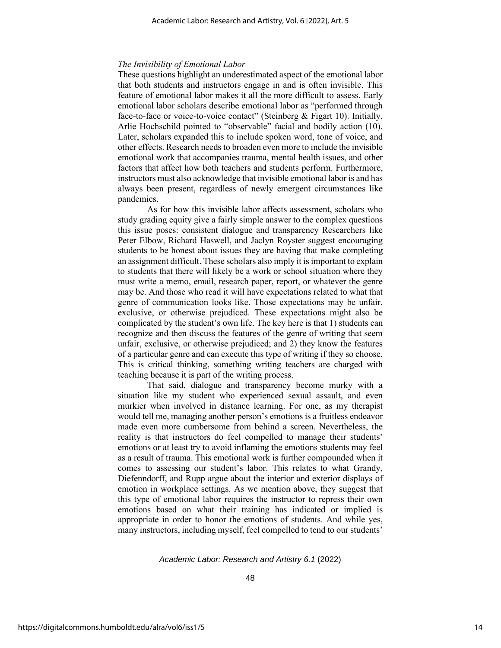#### *The Invisibility of Emotional Labor*

These questions highlight an underestimated aspect of the emotional labor that both students and instructors engage in and is often invisible. This feature of emotional labor makes it all the more difficult to assess. Early emotional labor scholars describe emotional labor as "performed through face-to-face or voice-to-voice contact" (Steinberg & Figart 10). Initially, Arlie Hochschild pointed to "observable" facial and bodily action (10). Later, scholars expanded this to include spoken word, tone of voice, and other effects. Research needs to broaden even more to include the invisible emotional work that accompanies trauma, mental health issues, and other factors that affect how both teachers and students perform. Furthermore, instructors must also acknowledge that invisible emotional labor is and has always been present, regardless of newly emergent circumstances like pandemics.

As for how this invisible labor affects assessment, scholars who study grading equity give a fairly simple answer to the complex questions this issue poses: consistent dialogue and transparency Researchers like Peter Elbow, Richard Haswell, and Jaclyn Royster suggest encouraging students to be honest about issues they are having that make completing an assignment difficult. These scholars also imply it is important to explain to students that there will likely be a work or school situation where they must write a memo, email, research paper, report, or whatever the genre may be. And those who read it will have expectations related to what that genre of communication looks like. Those expectations may be unfair, exclusive, or otherwise prejudiced. These expectations might also be complicated by the student's own life. The key here is that 1) students can recognize and then discuss the features of the genre of writing that seem unfair, exclusive, or otherwise prejudiced; and 2) they know the features of a particular genre and can execute this type of writing if they so choose. This is critical thinking, something writing teachers are charged with teaching because it is part of the writing process.

That said, dialogue and transparency become murky with a situation like my student who experienced sexual assault, and even murkier when involved in distance learning. For one, as my therapist would tell me, managing another person's emotions is a fruitless endeavor made even more cumbersome from behind a screen. Nevertheless, the reality is that instructors do feel compelled to manage their students' emotions or at least try to avoid inflaming the emotions students may feel as a result of trauma. This emotional work is further compounded when it comes to assessing our student's labor. This relates to what Grandy, Diefenndorff, and Rupp argue about the interior and exterior displays of emotion in workplace settings. As we mention above, they suggest that this type of emotional labor requires the instructor to repress their own emotions based on what their training has indicated or implied is appropriate in order to honor the emotions of students. And while yes, many instructors, including myself, feel compelled to tend to our students'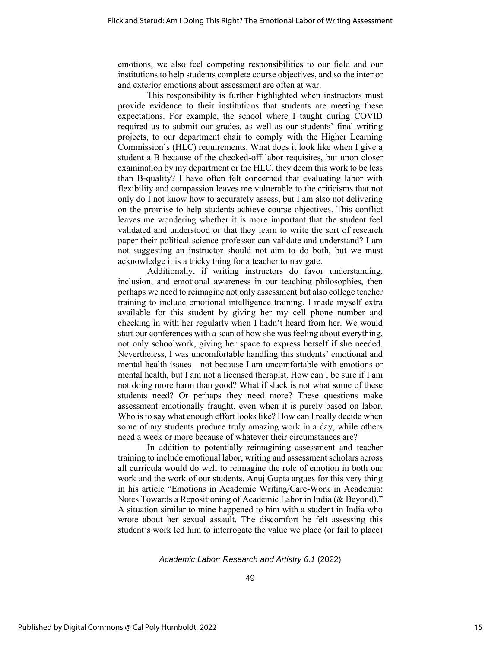emotions, we also feel competing responsibilities to our field and our institutions to help students complete course objectives, and so the interior and exterior emotions about assessment are often at war.

This responsibility is further highlighted when instructors must provide evidence to their institutions that students are meeting these expectations. For example, the school where I taught during COVID required us to submit our grades, as well as our students' final writing projects, to our department chair to comply with the Higher Learning Commission's (HLC) requirements. What does it look like when I give a student a B because of the checked-off labor requisites, but upon closer examination by my department or the HLC, they deem this work to be less than B-quality? I have often felt concerned that evaluating labor with flexibility and compassion leaves me vulnerable to the criticisms that not only do I not know how to accurately assess, but I am also not delivering on the promise to help students achieve course objectives. This conflict leaves me wondering whether it is more important that the student feel validated and understood or that they learn to write the sort of research paper their political science professor can validate and understand? I am not suggesting an instructor should not aim to do both, but we must acknowledge it is a tricky thing for a teacher to navigate.

Additionally, if writing instructors do favor understanding, inclusion, and emotional awareness in our teaching philosophies, then perhaps we need to reimagine not only assessment but also college teacher training to include emotional intelligence training. I made myself extra available for this student by giving her my cell phone number and checking in with her regularly when I hadn't heard from her. We would start our conferences with a scan of how she was feeling about everything, not only schoolwork, giving her space to express herself if she needed. Nevertheless, I was uncomfortable handling this students' emotional and mental health issues—not because I am uncomfortable with emotions or mental health, but I am not a licensed therapist. How can I be sure if I am not doing more harm than good? What if slack is not what some of these students need? Or perhaps they need more? These questions make assessment emotionally fraught, even when it is purely based on labor. Who is to say what enough effort looks like? How can I really decide when some of my students produce truly amazing work in a day, while others need a week or more because of whatever their circumstances are?

In addition to potentially reimagining assessment and teacher training to include emotional labor, writing and assessment scholars across all curricula would do well to reimagine the role of emotion in both our work and the work of our students. Anuj Gupta argues for this very thing in his article "Emotions in Academic Writing/Care-Work in Academia: Notes Towards a Repositioning of Academic Labor in India (& Beyond)." A situation similar to mine happened to him with a student in India who wrote about her sexual assault. The discomfort he felt assessing this student's work led him to interrogate the value we place (or fail to place)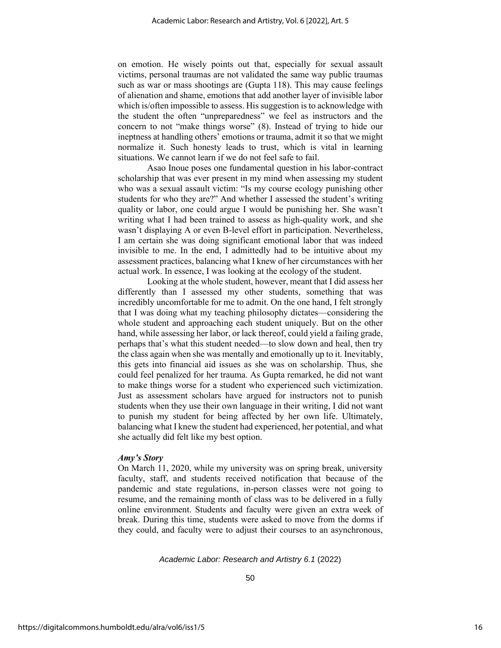on emotion. He wisely points out that, especially for sexual assault victims, personal traumas are not validated the same way public traumas such as war or mass shootings are (Gupta 118). This may cause feelings of alienation and shame, emotions that add another layer of invisible labor which is/often impossible to assess. His suggestion is to acknowledge with the student the often "unpreparedness" we feel as instructors and the concern to not "make things worse" (8). Instead of trying to hide our ineptness at handling others' emotions or trauma, admit it so that we might normalize it. Such honesty leads to trust, which is vital in learning situations. We cannot learn if we do not feel safe to fail.

Asao Inoue poses one fundamental question in his labor-contract scholarship that was ever present in my mind when assessing my student who was a sexual assault victim: "Is my course ecology punishing other students for who they are?" And whether I assessed the student's writing quality or labor, one could argue I would be punishing her. She wasn't writing what I had been trained to assess as high-quality work, and she wasn't displaying A or even B-level effort in participation. Nevertheless, I am certain she was doing significant emotional labor that was indeed invisible to me. In the end, I admittedly had to be intuitive about my assessment practices, balancing what I knew of her circumstances with her actual work. In essence, I was looking at the ecology of the student.

Looking at the whole student, however, meant that I did assess her differently than I assessed my other students, something that was incredibly uncomfortable for me to admit. On the one hand, I felt strongly that I was doing what my teaching philosophy dictates—considering the whole student and approaching each student uniquely. But on the other hand, while assessing her labor, or lack thereof, could yield a failing grade, perhaps that's what this student needed—to slow down and heal, then try the class again when she was mentally and emotionally up to it. Inevitably, this gets into financial aid issues as she was on scholarship. Thus, she could feel penalized for her trauma. As Gupta remarked, he did not want to make things worse for a student who experienced such victimization. Just as assessment scholars have argued for instructors not to punish students when they use their own language in their writing, I did not want to punish my student for being affected by her own life. Ultimately, balancing what I knew the student had experienced, her potential, and what she actually did felt like my best option.

#### *Amy's Story*

On March 11, 2020, while my university was on spring break, university faculty, staff, and students received notification that because of the pandemic and state regulations, in-person classes were not going to resume, and the remaining month of class was to be delivered in a fully online environment. Students and faculty were given an extra week of break. During this time, students were asked to move from the dorms if they could, and faculty were to adjust their courses to an asynchronous,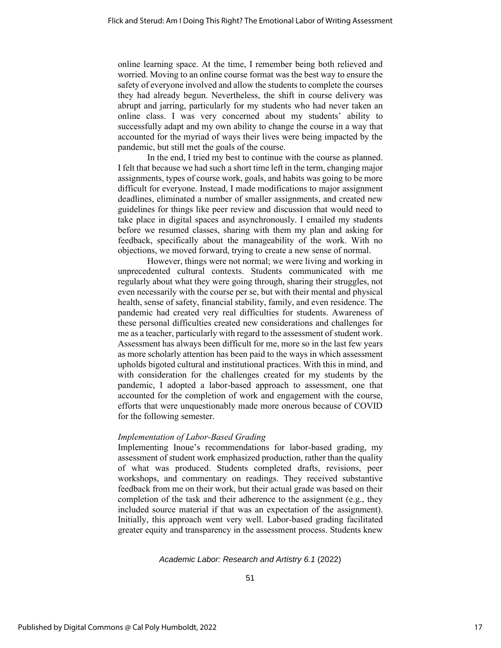online learning space. At the time, I remember being both relieved and worried. Moving to an online course format was the best way to ensure the safety of everyone involved and allow the students to complete the courses they had already begun. Nevertheless, the shift in course delivery was abrupt and jarring, particularly for my students who had never taken an online class. I was very concerned about my students' ability to successfully adapt and my own ability to change the course in a way that accounted for the myriad of ways their lives were being impacted by the pandemic, but still met the goals of the course.

In the end, I tried my best to continue with the course as planned. I felt that because we had such a short time left in the term, changing major assignments, types of course work, goals, and habits was going to be more difficult for everyone. Instead, I made modifications to major assignment deadlines, eliminated a number of smaller assignments, and created new guidelines for things like peer review and discussion that would need to take place in digital spaces and asynchronously. I emailed my students before we resumed classes, sharing with them my plan and asking for feedback, specifically about the manageability of the work. With no objections, we moved forward, trying to create a new sense of normal.

However, things were not normal; we were living and working in unprecedented cultural contexts. Students communicated with me regularly about what they were going through, sharing their struggles, not even necessarily with the course per se, but with their mental and physical health, sense of safety, financial stability, family, and even residence. The pandemic had created very real difficulties for students. Awareness of these personal difficulties created new considerations and challenges for me as a teacher, particularly with regard to the assessment of student work. Assessment has always been difficult for me, more so in the last few years as more scholarly attention has been paid to the ways in which assessment upholds bigoted cultural and institutional practices. With this in mind, and with consideration for the challenges created for my students by the pandemic, I adopted a labor-based approach to assessment, one that accounted for the completion of work and engagement with the course, efforts that were unquestionably made more onerous because of COVID for the following semester.

# *Implementation of Labor-Based Grading*

Implementing Inoue's recommendations for labor-based grading, my assessment of student work emphasized production, rather than the quality of what was produced. Students completed drafts, revisions, peer workshops, and commentary on readings. They received substantive feedback from me on their work, but their actual grade was based on their completion of the task and their adherence to the assignment (e.g., they included source material if that was an expectation of the assignment). Initially, this approach went very well. Labor-based grading facilitated greater equity and transparency in the assessment process. Students knew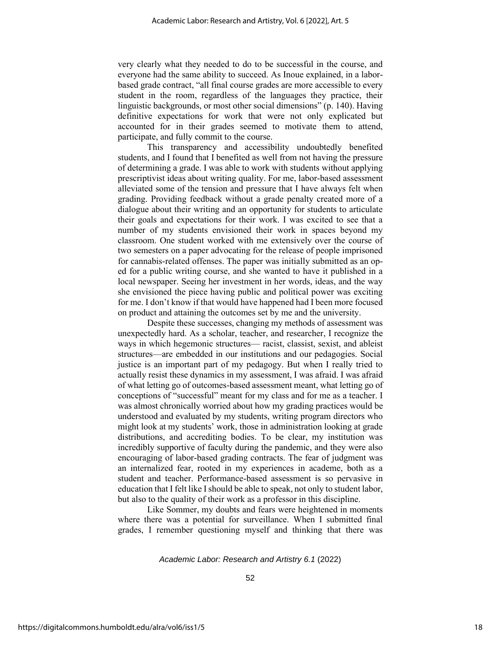very clearly what they needed to do to be successful in the course, and everyone had the same ability to succeed. As Inoue explained, in a laborbased grade contract, "all final course grades are more accessible to every student in the room, regardless of the languages they practice, their linguistic backgrounds, or most other social dimensions" (p. 140). Having definitive expectations for work that were not only explicated but accounted for in their grades seemed to motivate them to attend, participate, and fully commit to the course.

This transparency and accessibility undoubtedly benefited students, and I found that I benefited as well from not having the pressure of determining a grade. I was able to work with students without applying prescriptivist ideas about writing quality. For me, labor-based assessment alleviated some of the tension and pressure that I have always felt when grading. Providing feedback without a grade penalty created more of a dialogue about their writing and an opportunity for students to articulate their goals and expectations for their work. I was excited to see that a number of my students envisioned their work in spaces beyond my classroom. One student worked with me extensively over the course of two semesters on a paper advocating for the release of people imprisoned for cannabis-related offenses. The paper was initially submitted as an oped for a public writing course, and she wanted to have it published in a local newspaper. Seeing her investment in her words, ideas, and the way she envisioned the piece having public and political power was exciting for me. I don't know if that would have happened had I been more focused on product and attaining the outcomes set by me and the university.

Despite these successes, changing my methods of assessment was unexpectedly hard. As a scholar, teacher, and researcher, I recognize the ways in which hegemonic structures— racist, classist, sexist, and ableist structures—are embedded in our institutions and our pedagogies. Social justice is an important part of my pedagogy. But when I really tried to actually resist these dynamics in my assessment, I was afraid. I was afraid of what letting go of outcomes-based assessment meant, what letting go of conceptions of "successful" meant for my class and for me as a teacher. I was almost chronically worried about how my grading practices would be understood and evaluated by my students, writing program directors who might look at my students' work, those in administration looking at grade distributions, and accrediting bodies. To be clear, my institution was incredibly supportive of faculty during the pandemic, and they were also encouraging of labor-based grading contracts. The fear of judgment was an internalized fear, rooted in my experiences in academe, both as a student and teacher. Performance-based assessment is so pervasive in education that I felt like I should be able to speak, not only to student labor, but also to the quality of their work as a professor in this discipline.

Like Sommer, my doubts and fears were heightened in moments where there was a potential for surveillance. When I submitted final grades, I remember questioning myself and thinking that there was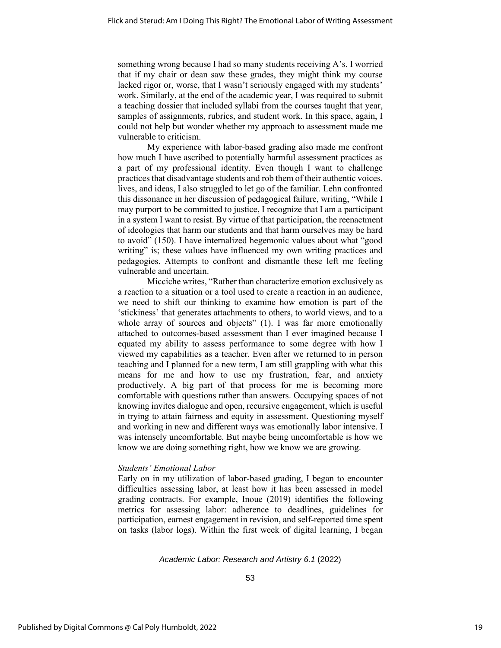something wrong because I had so many students receiving A's. I worried that if my chair or dean saw these grades, they might think my course lacked rigor or, worse, that I wasn't seriously engaged with my students' work. Similarly, at the end of the academic year, I was required to submit a teaching dossier that included syllabi from the courses taught that year, samples of assignments, rubrics, and student work. In this space, again, I could not help but wonder whether my approach to assessment made me vulnerable to criticism.

My experience with labor-based grading also made me confront how much I have ascribed to potentially harmful assessment practices as a part of my professional identity. Even though I want to challenge practices that disadvantage students and rob them of their authentic voices, lives, and ideas, I also struggled to let go of the familiar. Lehn confronted this dissonance in her discussion of pedagogical failure, writing, "While I may purport to be committed to justice, I recognize that I am a participant in a system I want to resist. By virtue of that participation, the reenactment of ideologies that harm our students and that harm ourselves may be hard to avoid" (150). I have internalized hegemonic values about what "good writing" is; these values have influenced my own writing practices and pedagogies. Attempts to confront and dismantle these left me feeling vulnerable and uncertain.

Micciche writes, "Rather than characterize emotion exclusively as a reaction to a situation or a tool used to create a reaction in an audience, we need to shift our thinking to examine how emotion is part of the 'stickiness' that generates attachments to others, to world views, and to a whole array of sources and objects" (1). I was far more emotionally attached to outcomes-based assessment than I ever imagined because I equated my ability to assess performance to some degree with how I viewed my capabilities as a teacher. Even after we returned to in person teaching and I planned for a new term, I am still grappling with what this means for me and how to use my frustration, fear, and anxiety productively. A big part of that process for me is becoming more comfortable with questions rather than answers. Occupying spaces of not knowing invites dialogue and open, recursive engagement, which is useful in trying to attain fairness and equity in assessment. Questioning myself and working in new and different ways was emotionally labor intensive. I was intensely uncomfortable. But maybe being uncomfortable is how we know we are doing something right, how we know we are growing.

# *Students' Emotional Labor*

Early on in my utilization of labor-based grading, I began to encounter difficulties assessing labor, at least how it has been assessed in model grading contracts. For example, Inoue (2019) identifies the following metrics for assessing labor: adherence to deadlines, guidelines for participation, earnest engagement in revision, and self-reported time spent on tasks (labor logs). Within the first week of digital learning, I began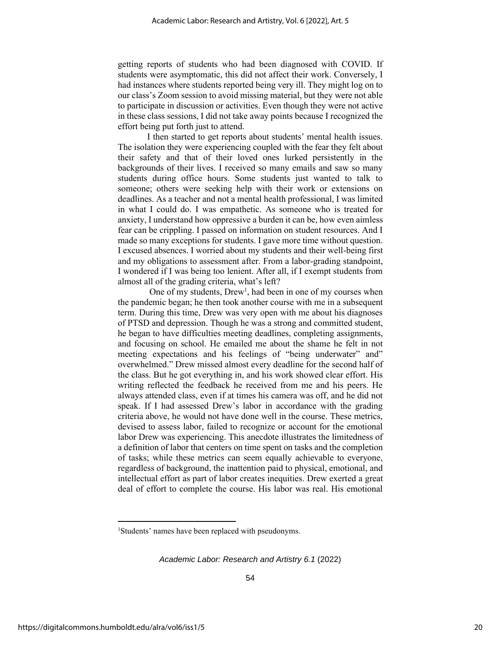getting reports of students who had been diagnosed with COVID. If students were asymptomatic, this did not affect their work. Conversely, I had instances where students reported being very ill. They might log on to our class's Zoom session to avoid missing material, but they were not able to participate in discussion or activities. Even though they were not active in these class sessions, I did not take away points because I recognized the effort being put forth just to attend.

I then started to get reports about students' mental health issues. The isolation they were experiencing coupled with the fear they felt about their safety and that of their loved ones lurked persistently in the backgrounds of their lives. I received so many emails and saw so many students during office hours. Some students just wanted to talk to someone; others were seeking help with their work or extensions on deadlines. As a teacher and not a mental health professional, I was limited in what I could do. I was empathetic. As someone who is treated for anxiety, I understand how oppressive a burden it can be, how even aimless fear can be crippling. I passed on information on student resources. And I made so many exceptions for students. I gave more time without question. I excused absences. I worried about my students and their well-being first and my obligations to assessment after. From a labor-grading standpoint, I wondered if I was being too lenient. After all, if I exempt students from almost all of the grading criteria, what's left?

One of my students, Drew<sup>1</sup>, had been in one of my courses when the pandemic began; he then took another course with me in a subsequent term. During this time, Drew was very open with me about his diagnoses of PTSD and depression. Though he was a strong and committed student, he began to have difficulties meeting deadlines, completing assignments, and focusing on school. He emailed me about the shame he felt in not meeting expectations and his feelings of "being underwater" and" overwhelmed." Drew missed almost every deadline for the second half of the class. But he got everything in, and his work showed clear effort. His writing reflected the feedback he received from me and his peers. He always attended class, even if at times his camera was off, and he did not speak. If I had assessed Drew's labor in accordance with the grading criteria above, he would not have done well in the course. These metrics, devised to assess labor, failed to recognize or account for the emotional labor Drew was experiencing. This anecdote illustrates the limitedness of a definition of labor that centers on time spent on tasks and the completion of tasks; while these metrics can seem equally achievable to everyone, regardless of background, the inattention paid to physical, emotional, and intellectual effort as part of labor creates inequities. Drew exerted a great deal of effort to complete the course. His labor was real. His emotional

<sup>1</sup>Students' names have been replaced with pseudonyms.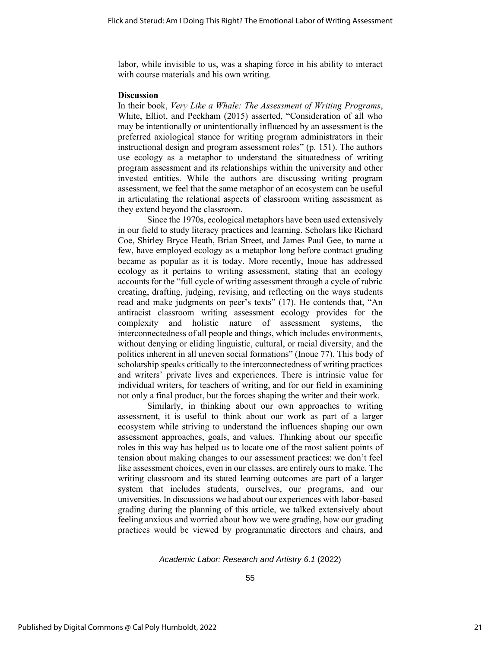labor, while invisible to us, was a shaping force in his ability to interact with course materials and his own writing.

#### **Discussion**

In their book, *Very Like a Whale: The Assessment of Writing Programs*, White, Elliot, and Peckham (2015) asserted, "Consideration of all who may be intentionally or unintentionally influenced by an assessment is the preferred axiological stance for writing program administrators in their instructional design and program assessment roles" (p. 151). The authors use ecology as a metaphor to understand the situatedness of writing program assessment and its relationships within the university and other invested entities. While the authors are discussing writing program assessment, we feel that the same metaphor of an ecosystem can be useful in articulating the relational aspects of classroom writing assessment as they extend beyond the classroom.

Since the 1970s, ecological metaphors have been used extensively in our field to study literacy practices and learning. Scholars like Richard Coe, Shirley Bryce Heath, Brian Street, and James Paul Gee, to name a few, have employed ecology as a metaphor long before contract grading became as popular as it is today. More recently, Inoue has addressed ecology as it pertains to writing assessment, stating that an ecology accounts for the "full cycle of writing assessment through a cycle of rubric creating, drafting, judging, revising, and reflecting on the ways students read and make judgments on peer's texts" (17). He contends that, "An antiracist classroom writing assessment ecology provides for the complexity and holistic nature of assessment systems, the interconnectedness of all people and things, which includes environments, without denying or eliding linguistic, cultural, or racial diversity, and the politics inherent in all uneven social formations" (Inoue 77). This body of scholarship speaks critically to the interconnectedness of writing practices and writers' private lives and experiences. There is intrinsic value for individual writers, for teachers of writing, and for our field in examining not only a final product, but the forces shaping the writer and their work.

Similarly, in thinking about our own approaches to writing assessment, it is useful to think about our work as part of a larger ecosystem while striving to understand the influences shaping our own assessment approaches, goals, and values. Thinking about our specific roles in this way has helped us to locate one of the most salient points of tension about making changes to our assessment practices: we don't feel like assessment choices, even in our classes, are entirely ours to make. The writing classroom and its stated learning outcomes are part of a larger system that includes students, ourselves, our programs, and our universities. In discussions we had about our experiences with labor-based grading during the planning of this article, we talked extensively about feeling anxious and worried about how we were grading, how our grading practices would be viewed by programmatic directors and chairs, and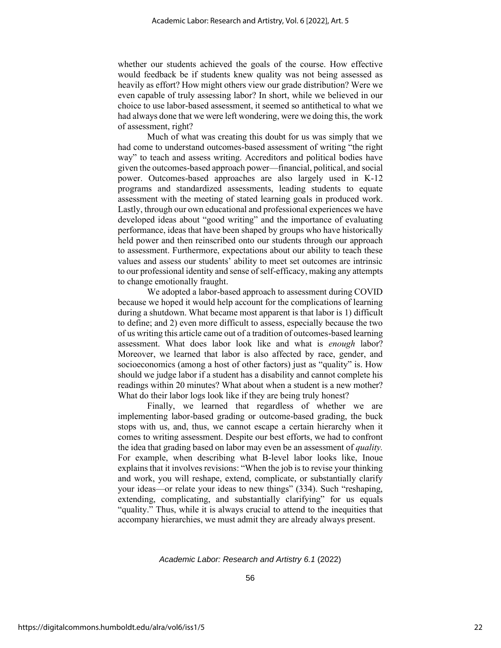whether our students achieved the goals of the course. How effective would feedback be if students knew quality was not being assessed as heavily as effort? How might others view our grade distribution? Were we even capable of truly assessing labor? In short, while we believed in our choice to use labor-based assessment, it seemed so antithetical to what we had always done that we were left wondering, were we doing this, the work of assessment, right?

Much of what was creating this doubt for us was simply that we had come to understand outcomes-based assessment of writing "the right way" to teach and assess writing. Accreditors and political bodies have given the outcomes-based approach power—financial, political, and social power. Outcomes-based approaches are also largely used in K-12 programs and standardized assessments, leading students to equate assessment with the meeting of stated learning goals in produced work. Lastly, through our own educational and professional experiences we have developed ideas about "good writing" and the importance of evaluating performance, ideas that have been shaped by groups who have historically held power and then reinscribed onto our students through our approach to assessment. Furthermore, expectations about our ability to teach these values and assess our students' ability to meet set outcomes are intrinsic to our professional identity and sense of self-efficacy, making any attempts to change emotionally fraught.

We adopted a labor-based approach to assessment during COVID because we hoped it would help account for the complications of learning during a shutdown. What became most apparent is that labor is 1) difficult to define; and 2) even more difficult to assess, especially because the two of us writing this article came out of a tradition of outcomes-based learning assessment. What does labor look like and what is *enough* labor? Moreover, we learned that labor is also affected by race, gender, and socioeconomics (among a host of other factors) just as "quality" is. How should we judge labor if a student has a disability and cannot complete his readings within 20 minutes? What about when a student is a new mother? What do their labor logs look like if they are being truly honest?

Finally, we learned that regardless of whether we are implementing labor-based grading or outcome-based grading, the buck stops with us, and, thus, we cannot escape a certain hierarchy when it comes to writing assessment. Despite our best efforts, we had to confront the idea that grading based on labor may even be an assessment of *quality.* For example, when describing what B-level labor looks like, Inoue explains that it involves revisions: "When the job is to revise your thinking and work, you will reshape, extend, complicate, or substantially clarify your ideas—or relate your ideas to new things" (334). Such "reshaping, extending, complicating, and substantially clarifying" for us equals "quality." Thus, while it is always crucial to attend to the inequities that accompany hierarchies, we must admit they are already always present.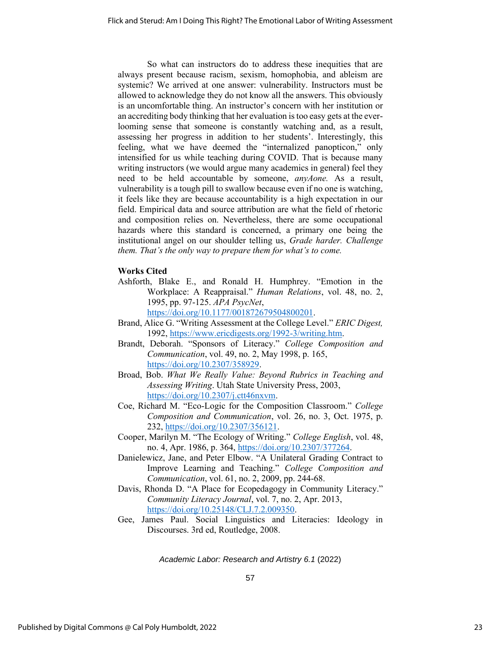So what can instructors do to address these inequities that are always present because racism, sexism, homophobia, and ableism are systemic? We arrived at one answer: vulnerability. Instructors must be allowed to acknowledge they do not know all the answers. This obviously is an uncomfortable thing. An instructor's concern with her institution or an accrediting body thinking that her evaluation is too easy gets at the everlooming sense that someone is constantly watching and, as a result, assessing her progress in addition to her students'. Interestingly, this feeling, what we have deemed the "internalized panopticon," only intensified for us while teaching during COVID. That is because many writing instructors (we would argue many academics in general) feel they need to be held accountable by someone, *anyAone.* As a result, vulnerability is a tough pill to swallow because even if no one is watching, it feels like they are because accountability is a high expectation in our field. Empirical data and source attribution are what the field of rhetoric and composition relies on. Nevertheless, there are some occupational hazards where this standard is concerned, a primary one being the institutional angel on our shoulder telling us, *Grade harder. Challenge them. That's the only way to prepare them for what's to come.*

# **Works Cited**

- Ashforth, Blake E., and Ronald H. Humphrey. "Emotion in the Workplace: A Reappraisal." *Human Relations*, vol. 48, no. 2, 1995, pp. 97-125. *APA PsycNet*, [https://doi.org/10.1177/001872679504800201.](https://doi.org/10.1177/001872679504800201)
- Brand, Alice G. "Writing Assessment at the College Level." *ERIC Digest,*  1992, [https://www.ericdigests.org/1992-3/writing.htm.](https://www.ericdigests.org/1992-3/writing.htm)
- Brandt, Deborah. "Sponsors of Literacy." *College Composition and Communication*, vol. 49, no. 2, May 1998, p. 165, [https://doi.org/10.2307/358929.](https://doi.org/10.2307/358929)
- Broad, Bob. *What We Really Value: Beyond Rubrics in Teaching and Assessing Writing*. Utah State University Press, 2003, [https://doi.org/10.2307/j.ctt46nxvm.](https://doi.org/10.2307/j.ctt46nxvm)
- Coe, Richard M. "Eco-Logic for the Composition Classroom." *College Composition and Communication*, vol. 26, no. 3, Oct. 1975, p. 232, [https://doi.org/10.2307/356121.](https://doi.org/10.2307/356121)
- Cooper, Marilyn M. "The Ecology of Writing." *College English*, vol. 48, no. 4, Apr. 1986, p. 364[, https://doi.org/10.2307/377264.](https://doi.org/10.2307/377264)
- Danielewicz, Jane, and Peter Elbow. "A Unilateral Grading Contract to Improve Learning and Teaching." *College Composition and Communication*, vol. 61, no. 2, 2009, pp. 244-68.
- Davis, Rhonda D. "A Place for Ecopedagogy in Community Literacy." *Community Literacy Journal*, vol. 7, no. 2, Apr. 2013, [https://doi.org/10.25148/CLJ.7.2.009350.](https://doi.org/10.25148/CLJ.7.2.009350)
- Gee, James Paul. Social Linguistics and Literacies: Ideology in Discourses. 3rd ed, Routledge, 2008.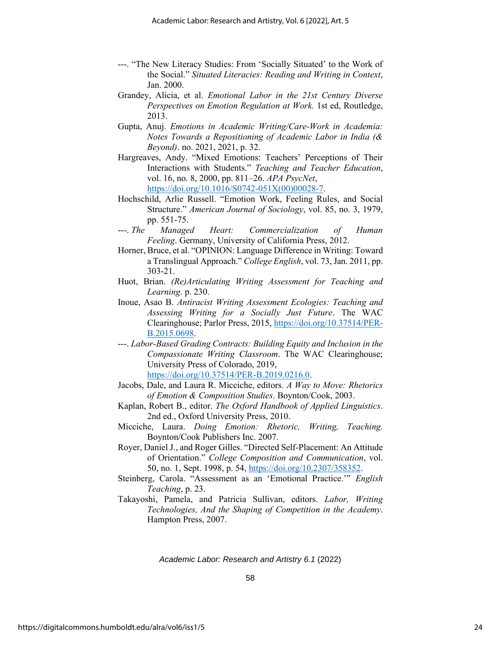- ---. "The New Literacy Studies: From 'Socially Situated' to the Work of the Social." *Situated Literacies: Reading and Writing in Context*, Jan. 2000.
- Grandey, Alicia, et al. *Emotional Labor in the 21st Century Diverse Perspectives on Emotion Regulation at Work.* 1st ed, Routledge, 2013.
- Gupta, Anuj. *Emotions in Academic Writing/Care-Work in Academia: Notes Towards a Repositioning of Academic Labor in India (& Beyond)*. no. 2021, 2021, p. 32.
- Hargreaves, Andy. "Mixed Emotions: Teachers' Perceptions of Their Interactions with Students." *Teaching and Teacher Education*, vol. 16, no. 8, 2000, pp. 811–26. *APA PsycNet*, [https://doi.org/10.1016/S0742-051X\(00\)00028-7.](https://doi.org/10.1016/S0742-051X(00)00028-7)
- Hochschild, Arlie Russell. "Emotion Work, Feeling Rules, and Social Structure." *American Journal of Sociology*, vol. 85, no. 3, 1979, pp. 551-75.
- ---. *The Managed Heart: Commercialization of Human Feeling*. Germany, University of California Press, 2012.
- Horner, Bruce, et al. "OPINION: Language Difference in Writing: Toward a Translingual Approach." *College English*, vol. 73, Jan. 2011, pp. 303-21.
- Huot, Brian. *(Re)Articulating Writing Assessment for Teaching and Learning*. p. 230.
- Inoue, Asao B. *Antiracist Writing Assessment Ecologies: Teaching and Assessing Writing for a Socially Just Future*. The WAC Clearinghouse; Parlor Press, 2015, [https://doi.org/10.37514/PER-](https://doi.org/10.37514/PER-B.2015.0698)[B.2015.0698.](https://doi.org/10.37514/PER-B.2015.0698)
- ---. *Labor-Based Grading Contracts: Building Equity and Inclusion in the Compassionate Writing Classroom*. The WAC Clearinghouse; University Press of Colorado, 2019,

[https://doi.org/10.37514/PER-B.2019.0216.0.](https://doi.org/10.37514/PER-B.2019.0216.0)

- Jacobs, Dale, and Laura R. Micciche, editors. *A Way to Move: Rhetorics of Emotion & Composition Studies*. Boynton/Cook, 2003.
- Kaplan, Robert B., editor. *The Oxford Handbook of Applied Linguistics*. 2nd ed., Oxford University Press, 2010.
- Micciche, Laura. *Doing Emotion: Rhetoric, Writing, Teaching.*  Boynton/Cook Publishers Inc. 2007.
- Royer, Daniel J., and Roger Gilles. "Directed Self-Placement: An Attitude of Orientation." *College Composition and Communication*, vol. 50, no. 1, Sept. 1998, p. 54, [https://doi.org/10.2307/358352.](https://doi.org/10.2307/358352)
- Steinberg, Carola. "Assessment as an 'Emotional Practice.'" *English Teaching*, p. 23.
- Takayoshi, Pamela, and Patricia Sullivan, editors. *Labor, Writing Technologies, And the Shaping of Competition in the Academy*. Hampton Press, 2007.